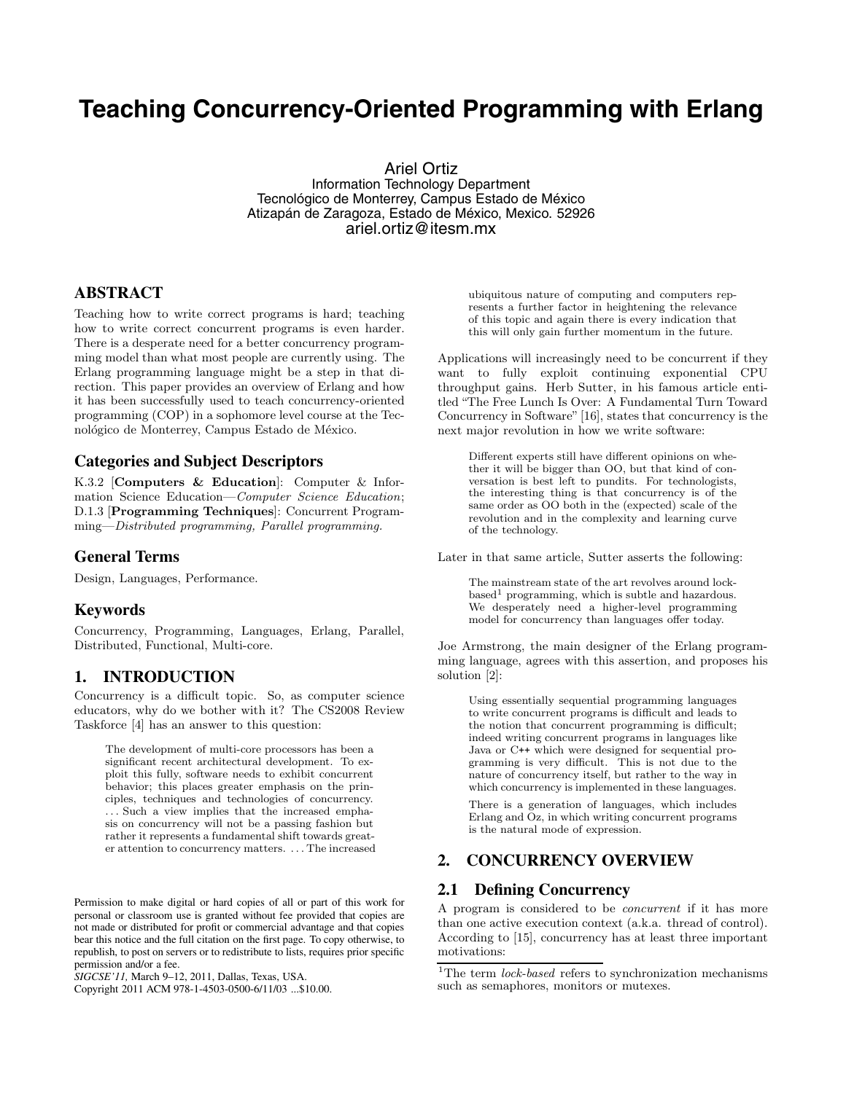# **Teaching Concurrency-Oriented Programming with Erlang**

Ariel Ortiz Information Technology Department Tecnológico de Monterrey, Campus Estado de México Atizapán de Zaragoza, Estado de México, Mexico. 52926 ariel.ortiz@itesm.mx

# **ABSTRACT**

Teaching how to write correct programs is hard; teaching how to write correct concurrent programs is even harder. There is a desperate need for a better concurrency programming model than what most people are currently using. The Erlang programming language might be a step in that direction. This paper provides an overview of Erlang and how it has been successfully used to teach concurrency-oriented programming (COP) in a sophomore level course at the Tecnológico de Monterrey, Campus Estado de México.

#### **Categories and Subject Descriptors**

K.3.2 [**Computers & Education**]: Computer & Information Science Education—Computer Science Education; D.1.3 [**Programming Techniques**]: Concurrent Programming—Distributed programming, Parallel programming.

#### **General Terms**

Design, Languages, Performance.

#### **Keywords**

Concurrency, Programming, Languages, Erlang, Parallel, Distributed, Functional, Multi-core.

# **1. INTRODUCTION**

Concurrency is a difficult topic. So, as computer science educators, why do we bother with it? The CS2008 Review Taskforce [4] has an answer to this question:

The development of multi-core processors has been a significant recent architectural development. To exploit this fully, software needs to exhibit concurrent behavior; this places greater emphasis on the principles, techniques and technologies of concurrency. . . . Such a view implies that the increased emphasis on concurrency will not be a passing fashion but rather it represents a fundamental shift towards greater attention to concurrency matters. . . . The increased

Permission to make digital or hard copies of all or part of this work for personal or classroom use is granted without fee provided that copies are not made or distributed for profit or commercial advantage and that copies bear this notice and the full citation on the first page. To copy otherwise, to republish, to post on servers or to redistribute to lists, requires prior specific permission and/or a fee.

Copyright 2011 ACM 978-1-4503-0500-6/11/03 ...\$10.00.

ubiquitous nature of computing and computers represents a further factor in heightening the relevance of this topic and again there is every indication that this will only gain further momentum in the future.

Applications will increasingly need to be concurrent if they want to fully exploit continuing exponential CPU throughput gains. Herb Sutter, in his famous article entitled "The Free Lunch Is Over: A Fundamental Turn Toward Concurrency in Software" [16], states that concurrency is the next major revolution in how we write software:

Different experts still have different opinions on whether it will be bigger than OO, but that kind of conversation is best left to pundits. For technologists, the interesting thing is that concurrency is of the same order as OO both in the (expected) scale of the revolution and in the complexity and learning curve of the technology.

Later in that same article, Sutter asserts the following:

The mainstream state of the art revolves around lock- $\beta$ based<sup>1</sup> programming, which is subtle and hazardous. We desperately need a higher-level programming model for concurrency than languages offer today.

Joe Armstrong, the main designer of the Erlang programming language, agrees with this assertion, and proposes his solution [2]:

Using essentially sequential programming languages to write concurrent programs is difficult and leads to the notion that concurrent programming is difficult; indeed writing concurrent programs in languages like Java or C++ which were designed for sequential programming is very difficult. This is not due to the nature of concurrency itself, but rather to the way in which concurrency is implemented in these languages.

There is a generation of languages, which includes Erlang and Oz, in which writing concurrent programs is the natural mode of expression.

# **2. CONCURRENCY OVERVIEW**

#### **2.1 Defining Concurrency**

A program is considered to be concurrent if it has more than one active execution context (a.k.a. thread of control). According to [15], concurrency has at least three important motivations:

*SIGCSE'11,* March 9–12, 2011, Dallas, Texas, USA.

<sup>&</sup>lt;sup>1</sup>The term *lock-based* refers to synchronization mechanisms such as semaphores, monitors or mutexes.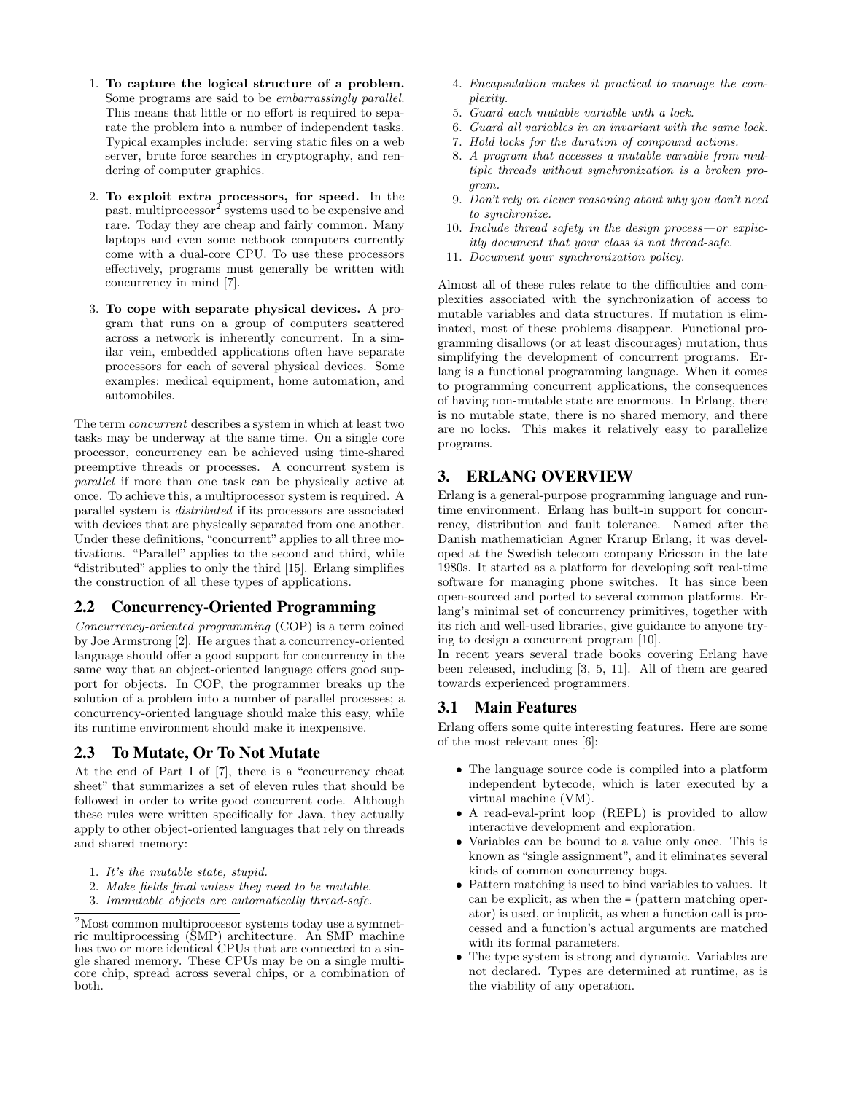- 1. **To capture the logical structure of a problem.** Some programs are said to be embarrassingly parallel. This means that little or no effort is required to separate the problem into a number of independent tasks. Typical examples include: serving static files on a web server, brute force searches in cryptography, and rendering of computer graphics.
- 2. **To exploit extra processors, for speed.** In the past, multiprocessor<sup>2</sup> systems used to be expensive and rare. Today they are cheap and fairly common. Many laptops and even some netbook computers currently come with a dual-core CPU. To use these processors effectively, programs must generally be written with concurrency in mind [7].
- 3. **To cope with separate physical devices.** A program that runs on a group of computers scattered across a network is inherently concurrent. In a similar vein, embedded applications often have separate processors for each of several physical devices. Some examples: medical equipment, home automation, and automobiles.

The term concurrent describes a system in which at least two tasks may be underway at the same time. On a single core processor, concurrency can be achieved using time-shared preemptive threads or processes. A concurrent system is parallel if more than one task can be physically active at once. To achieve this, a multiprocessor system is required. A parallel system is distributed if its processors are associated with devices that are physically separated from one another. Under these definitions, "concurrent" applies to all three motivations. "Parallel" applies to the second and third, while "distributed" applies to only the third [15]. Erlang simplifies the construction of all these types of applications.

### **2.2 Concurrency-Oriented Programming**

Concurrency-oriented programming (COP) is a term coined by Joe Armstrong [2]. He argues that a concurrency-oriented language should offer a good support for concurrency in the same way that an object-oriented language offers good support for objects. In COP, the programmer breaks up the solution of a problem into a number of parallel processes; a concurrency-oriented language should make this easy, while its runtime environment should make it inexpensive.

# **2.3 To Mutate, Or To Not Mutate**

At the end of Part I of [7], there is a "concurrency cheat sheet" that summarizes a set of eleven rules that should be followed in order to write good concurrent code. Although these rules were written specifically for Java, they actually apply to other object-oriented languages that rely on threads and shared memory:

- 1. It's the mutable state, stupid.
- 2. Make fields final unless they need to be mutable.
- 3. Immutable objects are automatically thread-safe.
- 4. Encapsulation makes it practical to manage the complexity.
- 5. Guard each mutable variable with a lock.
- 6. Guard all variables in an invariant with the same lock.
- 7. Hold locks for the duration of compound actions.
- 8. A program that accesses a mutable variable from multiple threads without synchronization is a broken program.
- 9. Don't rely on clever reasoning about why you don't need to synchronize.
- 10. Include thread safety in the design process—or explicitly document that your class is not thread-safe.
- 11. Document your synchronization policy.

Almost all of these rules relate to the difficulties and complexities associated with the synchronization of access to mutable variables and data structures. If mutation is eliminated, most of these problems disappear. Functional programming disallows (or at least discourages) mutation, thus simplifying the development of concurrent programs. Erlang is a functional programming language. When it comes to programming concurrent applications, the consequences of having non-mutable state are enormous. In Erlang, there is no mutable state, there is no shared memory, and there are no locks. This makes it relatively easy to parallelize programs.

# **3. ERLANG OVERVIEW**

Erlang is a general-purpose programming language and runtime environment. Erlang has built-in support for concurrency, distribution and fault tolerance. Named after the Danish mathematician Agner Krarup Erlang, it was developed at the Swedish telecom company Ericsson in the late 1980s. It started as a platform for developing soft real-time software for managing phone switches. It has since been open-sourced and ported to several common platforms. Erlang's minimal set of concurrency primitives, together with its rich and well-used libraries, give guidance to anyone trying to design a concurrent program [10].

In recent years several trade books covering Erlang have been released, including [3, 5, 11]. All of them are geared towards experienced programmers.

# **3.1 Main Features**

Erlang offers some quite interesting features. Here are some of the most relevant ones [6]:

- The language source code is compiled into a platform independent bytecode, which is later executed by a virtual machine (VM).
- A read-eval-print loop (REPL) is provided to allow interactive development and exploration.
- Variables can be bound to a value only once. This is known as "single assignment", and it eliminates several kinds of common concurrency bugs.
- Pattern matching is used to bind variables to values. It can be explicit, as when the = (pattern matching operator) is used, or implicit, as when a function call is processed and a function's actual arguments are matched with its formal parameters.
- The type system is strong and dynamic. Variables are not declared. Types are determined at runtime, as is the viability of any operation.

<sup>2</sup>Most common multiprocessor systems today use a symmetric multiprocessing (SMP) architecture. An SMP machine has two or more identical CPUs that are connected to a single shared memory. These CPUs may be on a single multicore chip, spread across several chips, or a combination of both.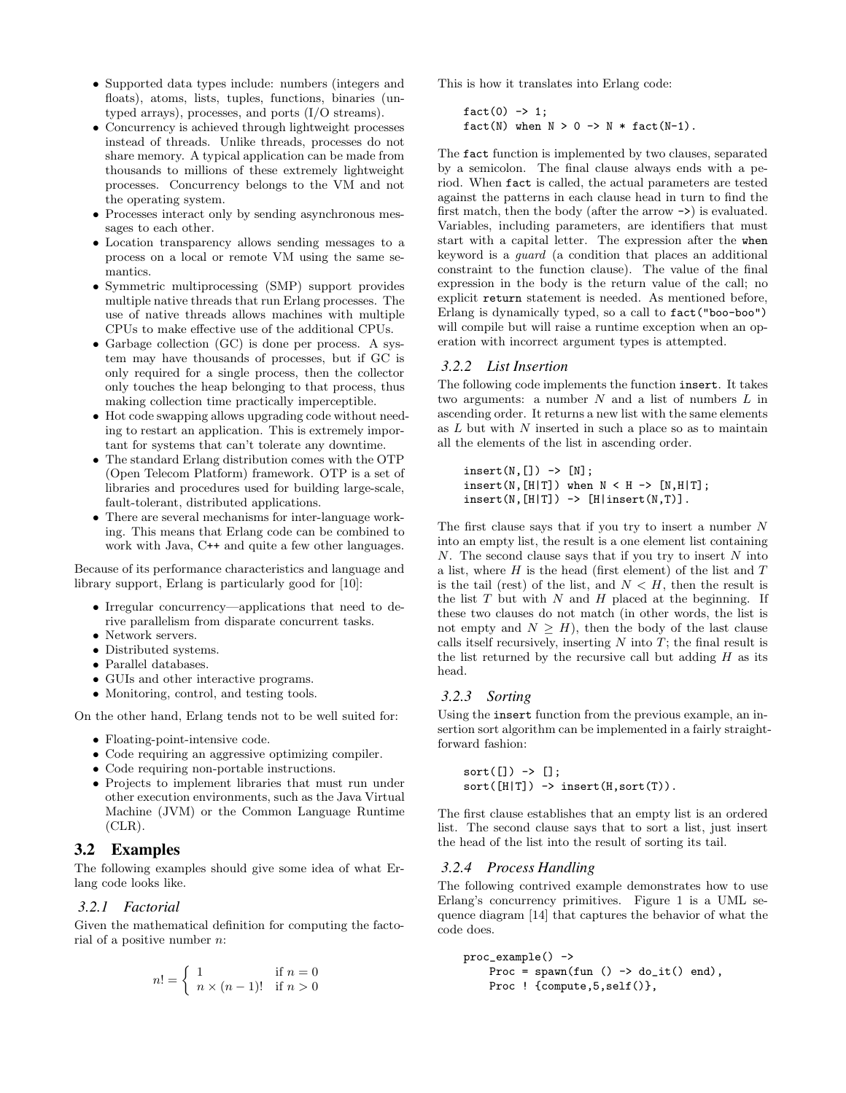- Supported data types include: numbers (integers and floats), atoms, lists, tuples, functions, binaries (untyped arrays), processes, and ports (I/O streams).
- Concurrency is achieved through lightweight processes instead of threads. Unlike threads, processes do not share memory. A typical application can be made from thousands to millions of these extremely lightweight processes. Concurrency belongs to the VM and not the operating system.
- Processes interact only by sending asynchronous messages to each other.
- Location transparency allows sending messages to a process on a local or remote VM using the same semantics.
- Symmetric multiprocessing (SMP) support provides multiple native threads that run Erlang processes. The use of native threads allows machines with multiple CPUs to make effective use of the additional CPUs.
- Garbage collection (GC) is done per process. A system may have thousands of processes, but if GC is only required for a single process, then the collector only touches the heap belonging to that process, thus making collection time practically imperceptible.
- Hot code swapping allows upgrading code without needing to restart an application. This is extremely important for systems that can't tolerate any downtime.
- The standard Erlang distribution comes with the OTP (Open Telecom Platform) framework. OTP is a set of libraries and procedures used for building large-scale, fault-tolerant, distributed applications.
- There are several mechanisms for inter-language working. This means that Erlang code can be combined to work with Java, C++ and quite a few other languages.

Because of its performance characteristics and language and library support, Erlang is particularly good for [10]:

- Irregular concurrency—applications that need to derive parallelism from disparate concurrent tasks.
- Network servers.
- Distributed systems.
- Parallel databases.
- GUIs and other interactive programs.
- Monitoring, control, and testing tools.

On the other hand, Erlang tends not to be well suited for:

- Floating-point-intensive code.
- Code requiring an aggressive optimizing compiler.
- Code requiring non-portable instructions.
- Projects to implement libraries that must run under other execution environments, such as the Java Virtual Machine (JVM) or the Common Language Runtime  $(CLR).$

# **3.2 Examples**

The following examples should give some idea of what Erlang code looks like.

#### *3.2.1 Factorial*

Given the mathematical definition for computing the factorial of a positive number n:

$$
n! = \begin{cases} 1 & \text{if } n = 0\\ n \times (n-1)! & \text{if } n > 0 \end{cases}
$$

This is how it translates into Erlang code:

```
fact(0) \rightarrow 1;fact(N) when N > 0 -> N * fact(N-1).
```
The fact function is implemented by two clauses, separated by a semicolon. The final clause always ends with a period. When fact is called, the actual parameters are tested against the patterns in each clause head in turn to find the first match, then the body (after the arrow  $\rightarrow$ ) is evaluated. Variables, including parameters, are identifiers that must start with a capital letter. The expression after the when keyword is a guard (a condition that places an additional constraint to the function clause). The value of the final expression in the body is the return value of the call; no explicit return statement is needed. As mentioned before, Erlang is dynamically typed, so a call to fact("boo-boo") will compile but will raise a runtime exception when an operation with incorrect argument types is attempted.

#### *3.2.2 List Insertion*

The following code implements the function insert. It takes two arguments: a number N and a list of numbers L in ascending order. It returns a new list with the same elements as  $L$  but with  $N$  inserted in such a place so as to maintain all the elements of the list in ascending order.

 $insert(N, [])$  ->  $[N]$ ; insert(N, $[H|T]$ ) when  $N < H \rightarrow [N,H|T]$ ;  $insert(N, [H|T]) \rightarrow [H|insert(N,T)].$ 

The first clause says that if you try to insert a number  $N$ into an empty list, the result is a one element list containing  $N$ . The second clause says that if you try to insert  $N$  into a list, where  $H$  is the head (first element) of the list and  $T$ is the tail (rest) of the list, and  $N < H$ , then the result is the list  $T$  but with  $N$  and  $H$  placed at the beginning. If these two clauses do not match (in other words, the list is not empty and  $N \geq H$ ), then the body of the last clause calls itself recursively, inserting  $N$  into  $T$ ; the final result is the list returned by the recursive call but adding  $H$  as its head.

#### *3.2.3 Sorting*

Using the insert function from the previous example, an insertion sort algorithm can be implemented in a fairly straightforward fashion:

```
sort([]) \rightarrow [];
sort([H|T]) \rightarrow insert(H, sort(T)).
```
The first clause establishes that an empty list is an ordered list. The second clause says that to sort a list, just insert the head of the list into the result of sorting its tail.

#### *3.2.4 Process Handling*

The following contrived example demonstrates how to use Erlang's concurrency primitives. Figure 1 is a UML sequence diagram [14] that captures the behavior of what the code does.

```
proc_example() ->
    Proc = spam(fun() \rightarrow do-it() end),
    Proc ! {compute, 5, self()},
```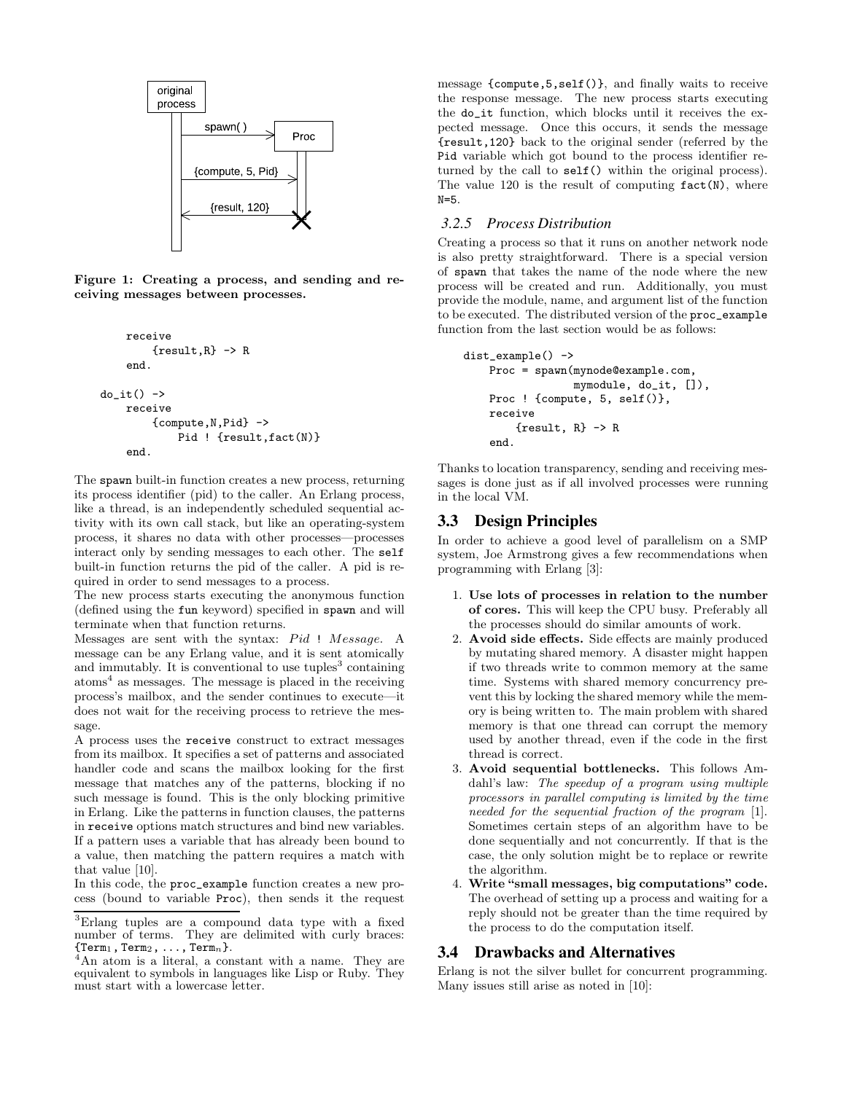

**Figure 1: Creating a process, and sending and receiving messages between processes.**

```
receive
           {\text{result}, R} \rightarrow Rend.
do_it() \rightarrowreceive
           {compute, N, Pid} \rightarrowPid ! {result, fact(N)}
      end.
```
The spawn built-in function creates a new process, returning its process identifier (pid) to the caller. An Erlang process, like a thread, is an independently scheduled sequential activity with its own call stack, but like an operating-system process, it shares no data with other processes—processes interact only by sending messages to each other. The self built-in function returns the pid of the caller. A pid is required in order to send messages to a process.

The new process starts executing the anonymous function (defined using the fun keyword) specified in spawn and will terminate when that function returns.

Messages are sent with the syntax:  $Pid$  ! Message. A message can be any Erlang value, and it is sent atomically and immutably. It is conventional to use tuples<sup>3</sup> containing atoms<sup>4</sup> as messages. The message is placed in the receiving process's mailbox, and the sender continues to execute—it does not wait for the receiving process to retrieve the message.

A process uses the receive construct to extract messages from its mailbox. It specifies a set of patterns and associated handler code and scans the mailbox looking for the first message that matches any of the patterns, blocking if no such message is found. This is the only blocking primitive in Erlang. Like the patterns in function clauses, the patterns in receive options match structures and bind new variables. If a pattern uses a variable that has already been bound to a value, then matching the pattern requires a match with that value [10].

In this code, the proc\_example function creates a new process (bound to variable Proc), then sends it the request message {compute,5,self()}, and finally waits to receive the response message. The new process starts executing the do\_it function, which blocks until it receives the expected message. Once this occurs, it sends the message {result,120} back to the original sender (referred by the Pid variable which got bound to the process identifier returned by the call to self() within the original process). The value 120 is the result of computing  $fact(N)$ , where N=5.

#### *3.2.5 Process Distribution*

Creating a process so that it runs on another network node is also pretty straightforward. There is a special version of spawn that takes the name of the node where the new process will be created and run. Additionally, you must provide the module, name, and argument list of the function to be executed. The distributed version of the proc\_example function from the last section would be as follows:

```
dist_example() ->
    Proc = spawn(mynode@example.com,
                   mymodule, do_it, []),
    Proc ! {compute, 5, self()},
    receive
         {\text{result}, R} \rightarrow Rend.
```
Thanks to location transparency, sending and receiving messages is done just as if all involved processes were running in the local VM.

#### **3.3 Design Principles**

In order to achieve a good level of parallelism on a SMP system, Joe Armstrong gives a few recommendations when programming with Erlang [3]:

- 1. **Use lots of processes in relation to the number of cores.** This will keep the CPU busy. Preferably all the processes should do similar amounts of work.
- 2. **Avoid side effects.** Side effects are mainly produced by mutating shared memory. A disaster might happen if two threads write to common memory at the same time. Systems with shared memory concurrency prevent this by locking the shared memory while the memory is being written to. The main problem with shared memory is that one thread can corrupt the memory used by another thread, even if the code in the first thread is correct.
- 3. **Avoid sequential bottlenecks.** This follows Amdahl's law: The speedup of a program using multiple processors in parallel computing is limited by the time needed for the sequential fraction of the program [1]. Sometimes certain steps of an algorithm have to be done sequentially and not concurrently. If that is the case, the only solution might be to replace or rewrite the algorithm.
- 4. **Write "small messages, big computations" code.** The overhead of setting up a process and waiting for a reply should not be greater than the time required by the process to do the computation itself.

#### **3.4 Drawbacks and Alternatives**

Erlang is not the silver bullet for concurrent programming. Many issues still arise as noted in [10]:

<sup>3</sup>Erlang tuples are a compound data type with a fixed number of terms. They are delimited with curly braces:  $\{Term_1, Term_2, \ldots, Term_n\}.$ 

An atom is a literal, a constant with a name. They are equivalent to symbols in languages like Lisp or Ruby. They must start with a lowercase letter.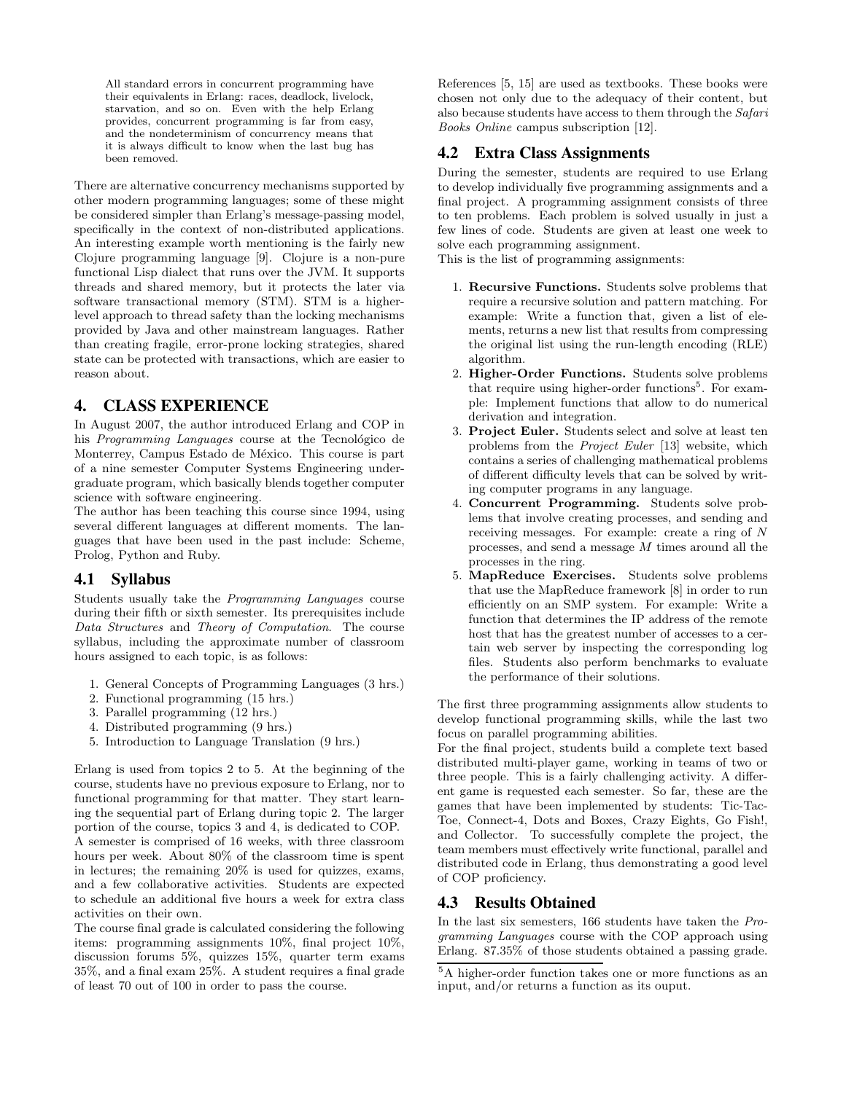All standard errors in concurrent programming have their equivalents in Erlang: races, deadlock, livelock, starvation, and so on. Even with the help Erlang provides, concurrent programming is far from easy, and the nondeterminism of concurrency means that it is always difficult to know when the last bug has been removed.

There are alternative concurrency mechanisms supported by other modern programming languages; some of these might be considered simpler than Erlang's message-passing model, specifically in the context of non-distributed applications. An interesting example worth mentioning is the fairly new Clojure programming language [9]. Clojure is a non-pure functional Lisp dialect that runs over the JVM. It supports threads and shared memory, but it protects the later via software transactional memory (STM). STM is a higherlevel approach to thread safety than the locking mechanisms provided by Java and other mainstream languages. Rather than creating fragile, error-prone locking strategies, shared state can be protected with transactions, which are easier to reason about.

# **4. CLASS EXPERIENCE**

In August 2007, the author introduced Erlang and COP in his Programming Languages course at the Tecnológico de Monterrey, Campus Estado de México. This course is part of a nine semester Computer Systems Engineering undergraduate program, which basically blends together computer science with software engineering.

The author has been teaching this course since 1994, using several different languages at different moments. The languages that have been used in the past include: Scheme, Prolog, Python and Ruby.

# **4.1 Syllabus**

Students usually take the Programming Languages course during their fifth or sixth semester. Its prerequisites include Data Structures and Theory of Computation. The course syllabus, including the approximate number of classroom hours assigned to each topic, is as follows:

- 1. General Concepts of Programming Languages (3 hrs.)
- 2. Functional programming (15 hrs.)
- 3. Parallel programming (12 hrs.)
- 4. Distributed programming (9 hrs.)
- 5. Introduction to Language Translation (9 hrs.)

Erlang is used from topics 2 to 5. At the beginning of the course, students have no previous exposure to Erlang, nor to functional programming for that matter. They start learning the sequential part of Erlang during topic 2. The larger portion of the course, topics 3 and 4, is dedicated to COP. A semester is comprised of 16 weeks, with three classroom hours per week. About 80% of the classroom time is spent in lectures; the remaining 20% is used for quizzes, exams, and a few collaborative activities. Students are expected to schedule an additional five hours a week for extra class activities on their own.

The course final grade is calculated considering the following items: programming assignments 10%, final project 10%, discussion forums 5%, quizzes 15%, quarter term exams 35%, and a final exam 25%. A student requires a final grade of least 70 out of 100 in order to pass the course.

References [5, 15] are used as textbooks. These books were chosen not only due to the adequacy of their content, but also because students have access to them through the Safari Books Online campus subscription [12].

### **4.2 Extra Class Assignments**

During the semester, students are required to use Erlang to develop individually five programming assignments and a final project. A programming assignment consists of three to ten problems. Each problem is solved usually in just a few lines of code. Students are given at least one week to solve each programming assignment.

This is the list of programming assignments:

- 1. **Recursive Functions.** Students solve problems that require a recursive solution and pattern matching. For example: Write a function that, given a list of elements, returns a new list that results from compressing the original list using the run-length encoding (RLE) algorithm.
- 2. **Higher-Order Functions.** Students solve problems that require using higher-order functions<sup>5</sup>. For example: Implement functions that allow to do numerical derivation and integration.
- 3. **Project Euler.** Students select and solve at least ten problems from the Project Euler [13] website, which contains a series of challenging mathematical problems of different difficulty levels that can be solved by writing computer programs in any language.
- 4. **Concurrent Programming.** Students solve problems that involve creating processes, and sending and receiving messages. For example: create a ring of N processes, and send a message M times around all the processes in the ring.
- 5. **MapReduce Exercises.** Students solve problems that use the MapReduce framework [8] in order to run efficiently on an SMP system. For example: Write a function that determines the IP address of the remote host that has the greatest number of accesses to a certain web server by inspecting the corresponding log files. Students also perform benchmarks to evaluate the performance of their solutions.

The first three programming assignments allow students to develop functional programming skills, while the last two focus on parallel programming abilities.

For the final project, students build a complete text based distributed multi-player game, working in teams of two or three people. This is a fairly challenging activity. A different game is requested each semester. So far, these are the games that have been implemented by students: Tic-Tac-Toe, Connect-4, Dots and Boxes, Crazy Eights, Go Fish!, and Collector. To successfully complete the project, the team members must effectively write functional, parallel and distributed code in Erlang, thus demonstrating a good level of COP proficiency.

### **4.3 Results Obtained**

In the last six semesters, 166 students have taken the Programming Languages course with the COP approach using Erlang. 87.35% of those students obtained a passing grade.

<sup>5</sup>A higher-order function takes one or more functions as an input, and/or returns a function as its ouput.